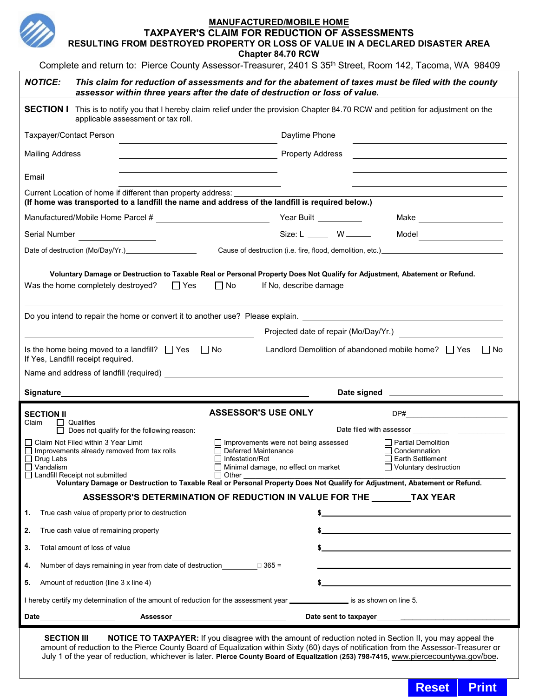

**TAXPAYER'S CLAIM FOR REDUCTION OF ASSESSMENTS**

**RESULTING FROM DESTROYED PROPERTY OR LOSS OF VALUE IN A DECLARED DISASTER AREA Chapter 84.70 RCW**

Complete and return to: Pierce County Assessor-Treasurer, 2401 S 35<sup>th</sup> Street, Room 142, Tacoma, WA 98409

| <b>NOTICE:</b>                                                                                                                                                                                                                                                                                        |                                                  |  |                            |                                                                                                                               | assessor within three years after the date of destruction or loss of value. |                                                                                                        | This claim for reduction of assessments and for the abatement of taxes must be filed with the county |  |
|-------------------------------------------------------------------------------------------------------------------------------------------------------------------------------------------------------------------------------------------------------------------------------------------------------|--------------------------------------------------|--|----------------------------|-------------------------------------------------------------------------------------------------------------------------------|-----------------------------------------------------------------------------|--------------------------------------------------------------------------------------------------------|------------------------------------------------------------------------------------------------------|--|
| <b>SECTION I</b> This is to notify you that I hereby claim relief under the provision Chapter 84.70 RCW and petition for adjustment on the<br>applicable assessment or tax roll.                                                                                                                      |                                                  |  |                            |                                                                                                                               |                                                                             |                                                                                                        |                                                                                                      |  |
| Taxpayer/Contact Person                                                                                                                                                                                                                                                                               |                                                  |  |                            | Daytime Phone                                                                                                                 |                                                                             |                                                                                                        |                                                                                                      |  |
| <b>Mailing Address</b>                                                                                                                                                                                                                                                                                |                                                  |  |                            | Property Address<br><u> 1989 - Jan Samuel Barbara, margaret e</u>                                                             |                                                                             |                                                                                                        |                                                                                                      |  |
| Email                                                                                                                                                                                                                                                                                                 |                                                  |  |                            |                                                                                                                               |                                                                             |                                                                                                        |                                                                                                      |  |
| Current Location of home if different than property address:<br>(If home was transported to a landfill the name and address of the landfill is required below.)                                                                                                                                       |                                                  |  |                            |                                                                                                                               |                                                                             |                                                                                                        |                                                                                                      |  |
|                                                                                                                                                                                                                                                                                                       |                                                  |  |                            |                                                                                                                               |                                                                             |                                                                                                        | Make ____________________                                                                            |  |
|                                                                                                                                                                                                                                                                                                       | Serial Number <u>_____________</u>               |  |                            |                                                                                                                               |                                                                             |                                                                                                        | $Size: L$ W                                                                                          |  |
| Cause of destruction (i.e. fire, flood, demolition, etc.)________________________<br>Date of destruction (Mo/Day/Yr.) <u>contained a set of destruction</u>                                                                                                                                           |                                                  |  |                            |                                                                                                                               |                                                                             |                                                                                                        |                                                                                                      |  |
| Voluntary Damage or Destruction to Taxable Real or Personal Property Does Not Qualify for Adjustment, Abatement or Refund.<br>$\square$ Yes<br>$\square$ No<br>Was the home completely destroyed?<br>If No, describe damage                                                                           |                                                  |  |                            |                                                                                                                               |                                                                             |                                                                                                        |                                                                                                      |  |
| Projected date of repair (Mo/Day/Yr.)                                                                                                                                                                                                                                                                 |                                                  |  |                            |                                                                                                                               |                                                                             |                                                                                                        |                                                                                                      |  |
| Is the home being moved to a landfill? $\Box$ Yes $\Box$ No<br>Landlord Demolition of abandoned mobile home? $\Box$ Yes $\Box$ No<br>If Yes, Landfill receipt required.                                                                                                                               |                                                  |  |                            |                                                                                                                               |                                                                             |                                                                                                        |                                                                                                      |  |
|                                                                                                                                                                                                                                                                                                       |                                                  |  |                            |                                                                                                                               |                                                                             |                                                                                                        |                                                                                                      |  |
| Signature_____________                                                                                                                                                                                                                                                                                |                                                  |  |                            |                                                                                                                               |                                                                             |                                                                                                        |                                                                                                      |  |
| <b>SECTION II</b><br>$\Box$ Qualifies<br>Claim<br>Does not qualify for the following reason:                                                                                                                                                                                                          |                                                  |  | <b>ASSESSOR'S USE ONLY</b> |                                                                                                                               |                                                                             |                                                                                                        |                                                                                                      |  |
|                                                                                                                                                                                                                                                                                                       |                                                  |  |                            |                                                                                                                               |                                                                             |                                                                                                        |                                                                                                      |  |
| □ Claim Not Filed within 3 Year Limit<br>$\Box$ Improvements already removed from tax rolls<br>$\Box$ Drug Labs<br>$\Box$ Vandalism<br>□ Landfill Receipt not submitted<br>Voluntary Damage or Destruction to Taxable Real or Personal Property Does Not Qualify for Adjustment, Abatement or Refund. |                                                  |  | $\Box$ Other               | $\Box$ Improvements were not being assessed<br>Deferred Maintenance<br>Infestation/Rot<br>Minimal damage, no effect on market |                                                                             | $\Box$ Partial Demolition<br>$\Box$ Condemnation<br>$\Box$ Earth Settlement<br>□ Voluntary destruction |                                                                                                      |  |
| ASSESSOR'S DETERMINATION OF REDUCTION IN VALUE FOR THE TAX YEAR                                                                                                                                                                                                                                       |                                                  |  |                            |                                                                                                                               |                                                                             |                                                                                                        |                                                                                                      |  |
| 1.                                                                                                                                                                                                                                                                                                    | True cash value of property prior to destruction |  |                            |                                                                                                                               |                                                                             |                                                                                                        |                                                                                                      |  |
| 2.                                                                                                                                                                                                                                                                                                    | True cash value of remaining property            |  |                            |                                                                                                                               |                                                                             |                                                                                                        |                                                                                                      |  |
| 3.                                                                                                                                                                                                                                                                                                    | Total amount of loss of value                    |  |                            |                                                                                                                               |                                                                             |                                                                                                        |                                                                                                      |  |
| 4.                                                                                                                                                                                                                                                                                                    |                                                  |  |                            |                                                                                                                               |                                                                             |                                                                                                        |                                                                                                      |  |
| Amount of reduction (line 3 x line 4)<br>5.                                                                                                                                                                                                                                                           |                                                  |  |                            |                                                                                                                               |                                                                             |                                                                                                        |                                                                                                      |  |
| I hereby certify my determination of the amount of reduction for the assessment year _______________ is as shown on line 5.                                                                                                                                                                           |                                                  |  |                            |                                                                                                                               |                                                                             |                                                                                                        |                                                                                                      |  |
|                                                                                                                                                                                                                                                                                                       |                                                  |  |                            |                                                                                                                               |                                                                             |                                                                                                        |                                                                                                      |  |
|                                                                                                                                                                                                                                                                                                       |                                                  |  |                            |                                                                                                                               |                                                                             |                                                                                                        |                                                                                                      |  |

**SECTION III** NOTICE TO TAXPAYER: If you disagree with the amount of reduction noted in Section II, you may appeal the amount of reduction to the Pierce County Board of Equalization within Sixty (60) days of notification from the Assessor-Treasurer or July 1 of the year of reduction, whichever is later. **Pierce County Board of Equalization** (**253) 798-7415,** [www.piercecountywa.gov/boe](https://www.piercecountywa.gov/boe)**.** 

**Reset** | Print